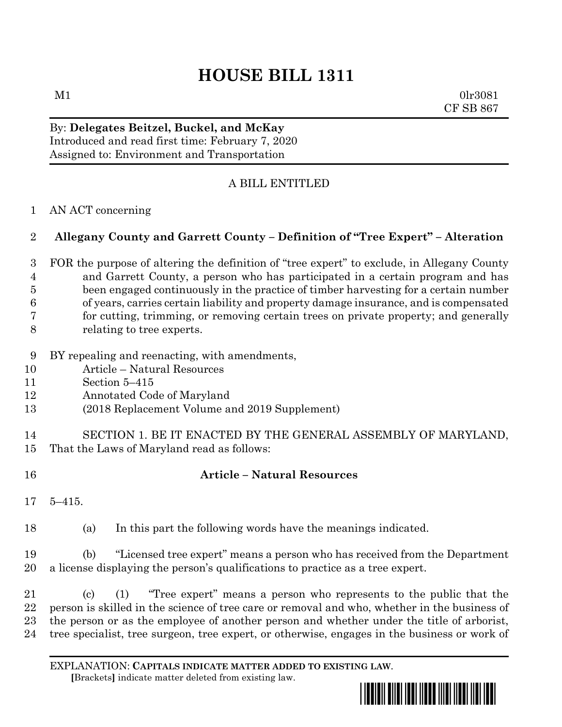# **HOUSE BILL 1311**

 $M1$  0lr3081 CF SB 867

By: **Delegates Beitzel, Buckel, and McKay** Introduced and read first time: February 7, 2020 Assigned to: Environment and Transportation

### A BILL ENTITLED

#### AN ACT concerning

#### **Allegany County and Garrett County – Definition of "Tree Expert" – Alteration**

 FOR the purpose of altering the definition of "tree expert" to exclude, in Allegany County and Garrett County, a person who has participated in a certain program and has been engaged continuously in the practice of timber harvesting for a certain number of years, carries certain liability and property damage insurance, and is compensated for cutting, trimming, or removing certain trees on private property; and generally relating to tree experts.

- BY repealing and reenacting, with amendments,
- Article Natural Resources
- Section 5–415
- Annotated Code of Maryland
- (2018 Replacement Volume and 2019 Supplement)
- SECTION 1. BE IT ENACTED BY THE GENERAL ASSEMBLY OF MARYLAND, That the Laws of Maryland read as follows:
- 

## **Article – Natural Resources**

5–415.

(a) In this part the following words have the meanings indicated.

 (b) "Licensed tree expert" means a person who has received from the Department a license displaying the person's qualifications to practice as a tree expert.

 (c) (1) "Tree expert" means a person who represents to the public that the person is skilled in the science of tree care or removal and who, whether in the business of the person or as the employee of another person and whether under the title of arborist, tree specialist, tree surgeon, tree expert, or otherwise, engages in the business or work of

EXPLANATION: **CAPITALS INDICATE MATTER ADDED TO EXISTING LAW**.  **[**Brackets**]** indicate matter deleted from existing law.

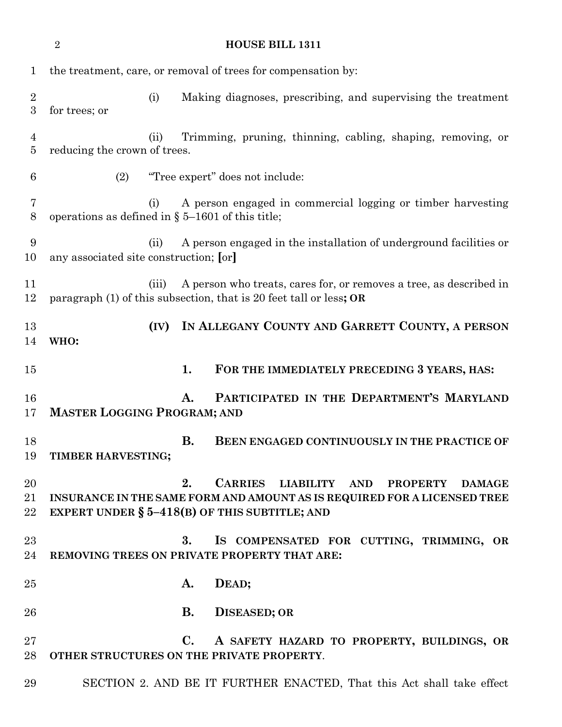|                     | $\overline{2}$<br><b>HOUSE BILL 1311</b>                                                                                                          |      |                                                             |                                                                                                                                                                                                     |  |
|---------------------|---------------------------------------------------------------------------------------------------------------------------------------------------|------|-------------------------------------------------------------|-----------------------------------------------------------------------------------------------------------------------------------------------------------------------------------------------------|--|
| $\mathbf 1$         | the treatment, care, or removal of trees for compensation by:                                                                                     |      |                                                             |                                                                                                                                                                                                     |  |
| $\overline{2}$<br>3 | for trees; or                                                                                                                                     | (i)  |                                                             | Making diagnoses, prescribing, and supervising the treatment                                                                                                                                        |  |
| $\overline{4}$<br>5 | reducing the crown of trees.                                                                                                                      | (ii) | Trimming, pruning, thinning, cabling, shaping, removing, or |                                                                                                                                                                                                     |  |
| 6                   | (2)                                                                                                                                               |      |                                                             | "Tree expert" does not include:                                                                                                                                                                     |  |
| 7<br>8              | A person engaged in commercial logging or timber harvesting<br>(i)<br>operations as defined in $\S$ 5-1601 of this title;                         |      |                                                             |                                                                                                                                                                                                     |  |
| 9<br>10             | A person engaged in the installation of underground facilities or<br>(ii)<br>any associated site construction; [or]                               |      |                                                             |                                                                                                                                                                                                     |  |
| 11<br>12            | A person who treats, cares for, or removes a tree, as described in<br>(iii)<br>paragraph (1) of this subsection, that is 20 feet tall or less; OR |      |                                                             |                                                                                                                                                                                                     |  |
| 13<br>14            | WHO:                                                                                                                                              | (IV) |                                                             | IN ALLEGANY COUNTY AND GARRETT COUNTY, A PERSON                                                                                                                                                     |  |
| 15                  |                                                                                                                                                   |      | 1.                                                          | FOR THE IMMEDIATELY PRECEDING 3 YEARS, HAS:                                                                                                                                                         |  |
| 16<br>17            | PARTICIPATED IN THE DEPARTMENT'S MARYLAND<br>Α.<br><b>MASTER LOGGING PROGRAM; AND</b>                                                             |      |                                                             |                                                                                                                                                                                                     |  |
| 18<br>19            | TIMBER HARVESTING;                                                                                                                                |      | <b>B.</b>                                                   | <b>BEEN ENGAGED CONTINUOUSLY IN THE PRACTICE OF</b>                                                                                                                                                 |  |
| 20<br>21<br>22      |                                                                                                                                                   |      | 2.                                                          | CARRIES LIABILITY<br><b>AND</b><br><b>PROPERTY</b><br><b>DAMAGE</b><br>INSURANCE IN THE SAME FORM AND AMOUNT AS IS REQUIRED FOR A LICENSED TREE<br>EXPERT UNDER $\S$ 5-418(B) OF THIS SUBTITLE; AND |  |
| 23<br>24            |                                                                                                                                                   |      | 3.                                                          | IS COMPENSATED FOR CUTTING, TRIMMING, OR<br>REMOVING TREES ON PRIVATE PROPERTY THAT ARE:                                                                                                            |  |
| $25\,$              |                                                                                                                                                   |      | A.                                                          | DEAD;                                                                                                                                                                                               |  |
| 26                  |                                                                                                                                                   |      | <b>B.</b>                                                   | <b>DISEASED; OR</b>                                                                                                                                                                                 |  |
| $27\,$<br>28        |                                                                                                                                                   |      | $\mathbf{C}$ .                                              | A SAFETY HAZARD TO PROPERTY, BUILDINGS, OR<br>OTHER STRUCTURES ON THE PRIVATE PROPERTY.                                                                                                             |  |
| 29                  |                                                                                                                                                   |      |                                                             | SECTION 2. AND BE IT FURTHER ENACTED, That this Act shall take effect                                                                                                                               |  |